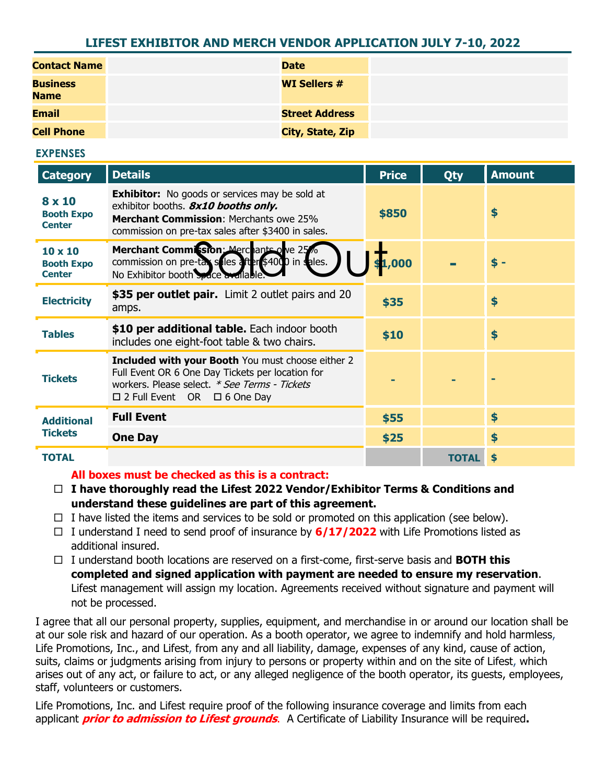## **LIFEST EXHIBITOR AND MERCH VENDOR APPLICATION JULY 7-10, 2022**

| <b>Contact Name</b>            | <b>Date</b>           |  |
|--------------------------------|-----------------------|--|
| <b>Business</b><br><b>Name</b> | <b>WI Sellers #</b>   |  |
| <b>Email</b>                   | <b>Street Address</b> |  |
| <b>Cell Phone</b>              | City, State, Zip      |  |

**EXPENSES**

| <b>Category</b>                                      | <b>Details</b>                                                                                                                                                                                             | <b>Price</b> | Qty          | <b>Amount</b> |
|------------------------------------------------------|------------------------------------------------------------------------------------------------------------------------------------------------------------------------------------------------------------|--------------|--------------|---------------|
| $8 \times 10$<br><b>Booth Expo</b><br><b>Center</b>  | <b>Exhibitor:</b> No goods or services may be sold at<br>exhibitor booths. <b>8x10 booths only.</b><br><b>Merchant Commission: Merchants owe 25%</b><br>commission on pre-tax sales after \$3400 in sales. | \$850        |              | \$            |
| $10 \times 10$<br><b>Booth Expo</b><br><b>Center</b> | Merchant Commission: Merchants ove 25%<br>commission on pre-tax solles after \$4000 in sales.<br>No Exhibitor booth space available.                                                                       | \$1,000      |              | $$ -$         |
| <b>Electricity</b>                                   | \$35 per outlet pair. Limit 2 outlet pairs and 20<br>amps.                                                                                                                                                 | \$35         |              | \$            |
| <b>Tables</b>                                        | \$10 per additional table. Each indoor booth<br>includes one eight-foot table & two chairs.                                                                                                                | \$10         |              | \$            |
| <b>Tickets</b>                                       | Included with your Booth You must choose either 2<br>Full Event OR 6 One Day Tickets per location for<br>workers. Please select. * See Terms - Tickets<br>$\Box$ 2 Full Event OR $\Box$ 6 One Day          |              |              |               |
| <b>Additional</b><br><b>Tickets</b>                  | <b>Full Event</b>                                                                                                                                                                                          | \$55         |              | \$            |
|                                                      | <b>One Day</b>                                                                                                                                                                                             | \$25         |              | \$            |
| <b>TOTAL</b>                                         |                                                                                                                                                                                                            |              | <b>TOTAL</b> | \$            |

## **All boxes must be checked as this is a contract:**

 **I have thoroughly read the Lifest 2022 Vendor/Exhibitor Terms & Conditions and understand these guidelines are part of this agreement.**

- $\Box$  I have listed the items and services to be sold or promoted on this application (see below).
- I understand I need to send proof of insurance by **6/17/2022** with Life Promotions listed as additional insured.
- I understand booth locations are reserved on a first-come, first-serve basis and **BOTH this completed and signed application with payment are needed to ensure my reservation**. Lifest management will assign my location. Agreements received without signature and payment will not be processed.

I agree that all our personal property, supplies, equipment, and merchandise in or around our location shall be at our sole risk and hazard of our operation. As a booth operator, we agree to indemnify and hold harmless, Life Promotions, Inc., and Lifest, from any and all liability, damage, expenses of any kind, cause of action, suits, claims or judgments arising from injury to persons or property within and on the site of Lifest, which arises out of any act, or failure to act, or any alleged negligence of the booth operator, its guests, employees, staff, volunteers or customers.

Life Promotions, Inc. and Lifest require proof of the following insurance coverage and limits from each applicant **prior to admission to Lifest grounds**. A Certificate of Liability Insurance will be required**.**